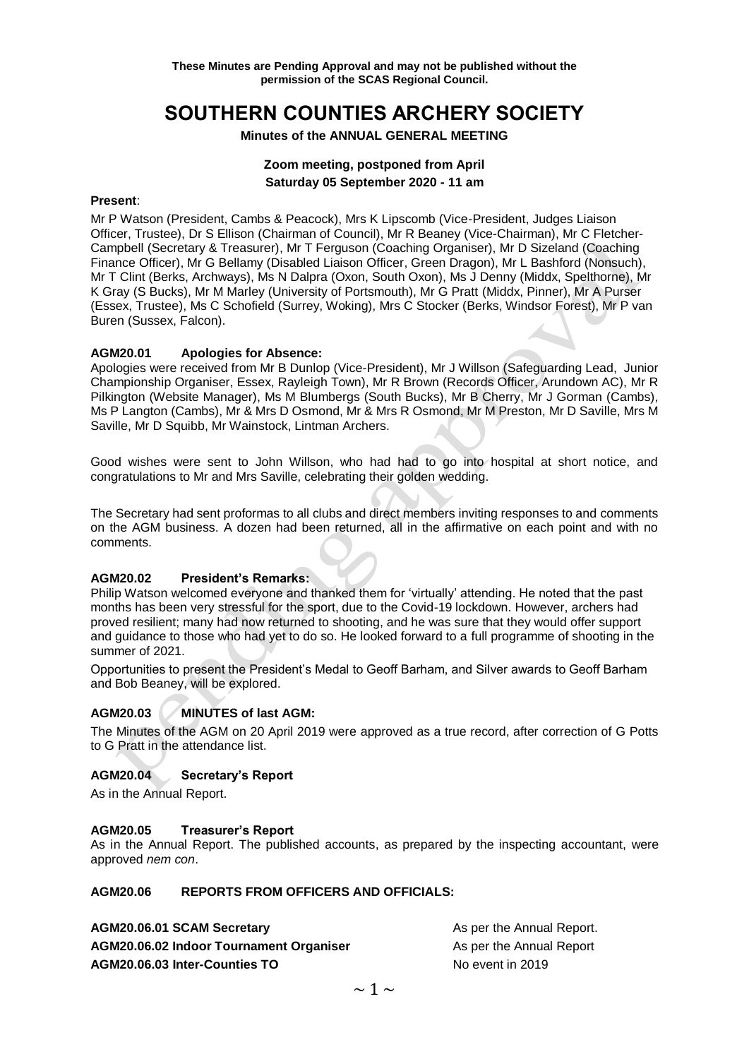# **SOUTHERN COUNTIES ARCHERY SOCIETY**

#### **Minutes of the ANNUAL GENERAL MEETING**

### **Zoom meeting, postponed from April Saturday 05 September 2020 - 11 am**

#### **Present**:

Mr P Watson (President, Cambs & Peacock), Mrs K Lipscomb (Vice-President, Judges Liaison Officer, Trustee), Dr S Ellison (Chairman of Council), Mr R Beaney (Vice-Chairman), Mr C Fletcher-Campbell (Secretary & Treasurer), Mr T Ferguson (Coaching Organiser), Mr D Sizeland (Coaching Finance Officer), Mr G Bellamy (Disabled Liaison Officer, Green Dragon), Mr L Bashford (Nonsuch), Mr T Clint (Berks, Archways), Ms N Dalpra (Oxon, South Oxon), Ms J Denny (Middx, Spelthorne), Mr K Gray (S Bucks), Mr M Marley (University of Portsmouth), Mr G Pratt (Middx, Pinner), Mr A Purser (Essex, Trustee), Ms C Schofield (Surrey, Woking), Mrs C Stocker (Berks, Windsor Forest), Mr P van Buren (Sussex, Falcon).

#### **AGM20.01 Apologies for Absence:**

Apologies were received from Mr B Dunlop (Vice-President), Mr J Willson (Safeguarding Lead, Junior Championship Organiser, Essex, Rayleigh Town), Mr R Brown (Records Officer, Arundown AC), Mr R Pilkington (Website Manager), Ms M Blumbergs (South Bucks), Mr B Cherry, Mr J Gorman (Cambs), Ms P Langton (Cambs), Mr & Mrs D Osmond, Mr & Mrs R Osmond, Mr M Preston, Mr D Saville, Mrs M Saville, Mr D Squibb, Mr Wainstock, Lintman Archers.

Good wishes were sent to John Willson, who had had to go into hospital at short notice, and congratulations to Mr and Mrs Saville, celebrating their golden wedding.

The Secretary had sent proformas to all clubs and direct members inviting responses to and comments on the AGM business. A dozen had been returned, all in the affirmative on each point and with no comments.

#### **AGM20.02 President's Remarks:**

Philip Watson welcomed everyone and thanked them for 'virtually' attending. He noted that the past months has been very stressful for the sport, due to the Covid-19 lockdown. However, archers had proved resilient; many had now returned to shooting, and he was sure that they would offer support and guidance to those who had yet to do so. He looked forward to a full programme of shooting in the summer of 2021.

Opportunities to present the President's Medal to Geoff Barham, and Silver awards to Geoff Barham and Bob Beaney, will be explored.

#### **AGM20.03 MINUTES of last AGM:**

The Minutes of the AGM on 20 April 2019 were approved as a true record, after correction of G Potts to G Pratt in the attendance list.

#### **AGM20.04 Secretary's Report**

As in the Annual Report.

#### **AGM20.05 Treasurer's Report**

As in the Annual Report. The published accounts, as prepared by the inspecting accountant, were approved *nem con*.

#### **AGM20.06 REPORTS FROM OFFICERS AND OFFICIALS:**

| AGM20.06.01 SCAM Secretary                     | As per the Annual Report. |
|------------------------------------------------|---------------------------|
| <b>AGM20.06.02 Indoor Tournament Organiser</b> | As per the Annual Report  |
| AGM20.06.03 Inter-Counties TO                  | No event in 2019          |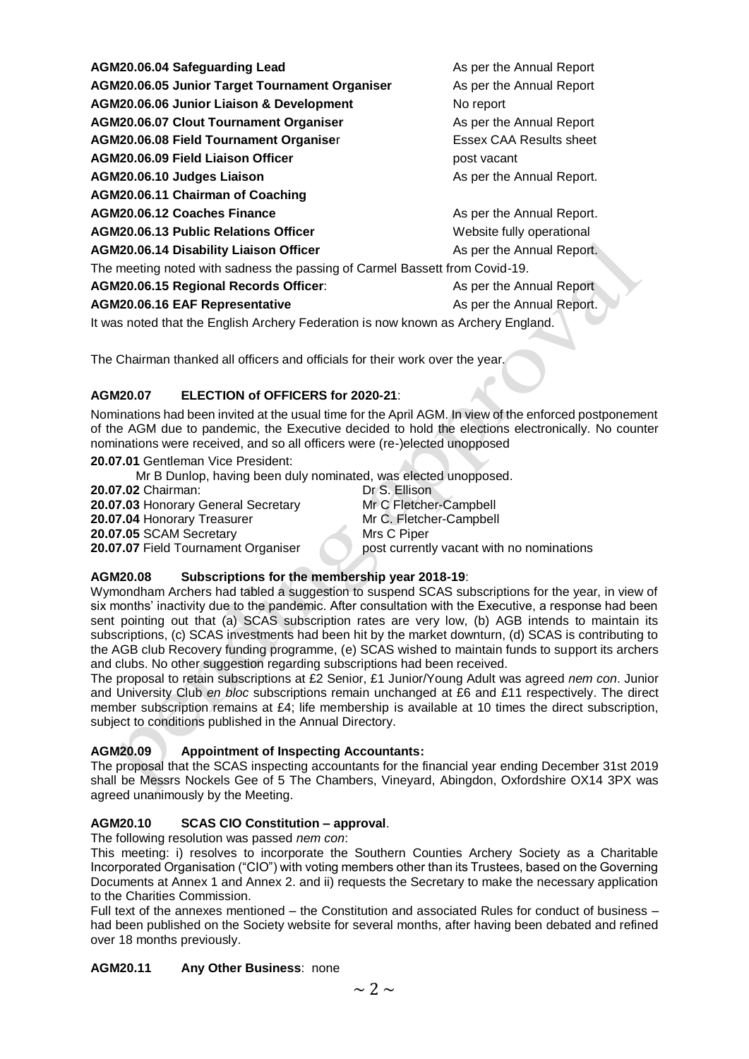| AGM20.06.04 Safeguarding Lead                                                     | As per the Annual Report  |
|-----------------------------------------------------------------------------------|---------------------------|
|                                                                                   |                           |
| <b>AGM20.06.05 Junior Target Tournament Organiser</b>                             | As per the Annual Report  |
| AGM20.06.06 Junior Liaison & Development                                          | No report                 |
| <b>AGM20.06.07 Clout Tournament Organiser</b>                                     | As per the Annual Report  |
| <b>AGM20.06.08 Field Tournament Organiser</b>                                     | Essex CAA Results sheet   |
| AGM20.06.09 Field Liaison Officer                                                 | post vacant               |
| AGM20.06.10 Judges Liaison                                                        | As per the Annual Report. |
| AGM20.06.11 Chairman of Coaching                                                  |                           |
| AGM20.06.12 Coaches Finance                                                       | As per the Annual Report. |
| AGM20.06.13 Public Relations Officer                                              | Website fully operational |
| <b>AGM20.06.14 Disability Liaison Officer</b>                                     | As per the Annual Report. |
| The meeting noted with sadness the passing of Carmel Bassett from Covid-19.       |                           |
| AGM20.06.15 Regional Records Officer:                                             | As per the Annual Report  |
| <b>AGM20.06.16 EAF Representative</b>                                             | As per the Annual Report. |
| It was noted that the English Archery Federation is now known as Archery England. |                           |

The Chairman thanked all officers and officials for their work over the year.

## **AGM20.07 ELECTION of OFFICERS for 2020-21**:

Nominations had been invited at the usual time for the April AGM. In view of the enforced postponement of the AGM due to pandemic, the Executive decided to hold the elections electronically. No counter nominations were received, and so all officers were (re-)elected unopposed

**20.07.01** Gentleman Vice President:

Mr B Dunlop, having been duly nominated, was elected unopposed.

**20.07.02** Chairman: Dr S. Ellison **20.07.03** Honorary General Secretary Mr C Fletcher-Campbell **20.07.04 Honorary Treasurer Mr C. Fletcher-Campbell 20.07.05** SCAM Secretary Mrs C Piper **20.07.07 Field Tournament Organiser post currently vacant with no nominations** 

## **AGM20.08 Subscriptions for the membership year 2018-19**:

Wymondham Archers had tabled a suggestion to suspend SCAS subscriptions for the year, in view of six months' inactivity due to the pandemic. After consultation with the Executive, a response had been sent pointing out that (a) SCAS subscription rates are very low, (b) AGB intends to maintain its subscriptions, (c) SCAS investments had been hit by the market downturn, (d) SCAS is contributing to the AGB club Recovery funding programme, (e) SCAS wished to maintain funds to support its archers and clubs. No other suggestion regarding subscriptions had been received.

The proposal to retain subscriptions at £2 Senior, £1 Junior/Young Adult was agreed *nem con*. Junior and University Club *en bloc* subscriptions remain unchanged at £6 and £11 respectively. The direct member subscription remains at £4; life membership is available at 10 times the direct subscription, subject to conditions published in the Annual Directory.

## **AGM20.09 Appointment of Inspecting Accountants:**

The proposal that the SCAS inspecting accountants for the financial year ending December 31st 2019 shall be Messrs Nockels Gee of 5 The Chambers, Vineyard, Abingdon, Oxfordshire OX14 3PX was agreed unanimously by the Meeting.

## **AGM20.10 SCAS CIO Constitution – approval**.

The following resolution was passed *nem con*:

This meeting: i) resolves to incorporate the Southern Counties Archery Society as a Charitable Incorporated Organisation ("CIO") with voting members other than its Trustees, based on the Governing Documents at Annex 1 and Annex 2. and ii) requests the Secretary to make the necessary application to the Charities Commission.

Full text of the annexes mentioned – the Constitution and associated Rules for conduct of business – had been published on the Society website for several months, after having been debated and refined over 18 months previously.

## **AGM20.11 Any Other Business**: none